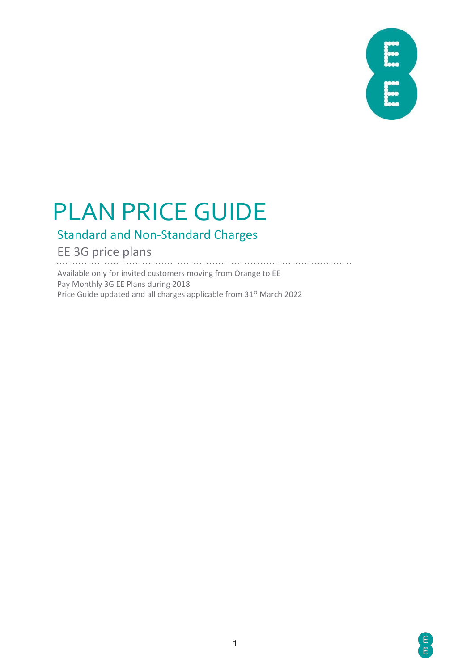

# PLAN PRICE GUIDE

# Standard and Non-Standard Charges

### EE 3G price plans

Available only for invited customers moving from Orange to EE Pay Monthly 3G EE Plans during 2018 Price Guide updated and all charges applicable from 31<sup>st</sup> March 2022

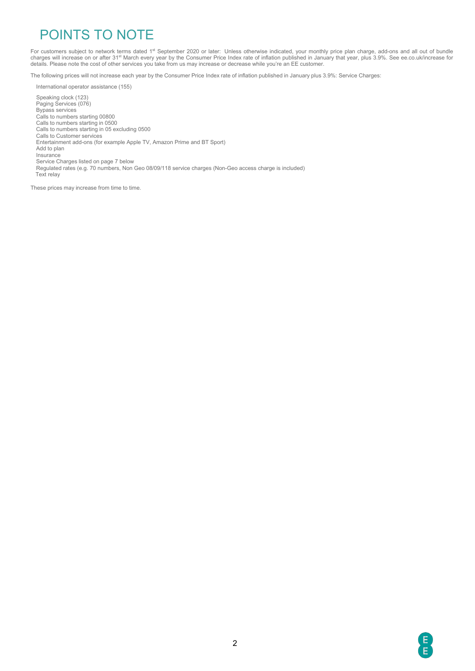### POINTS TO NOTE

For customers subject to network terms dated 1st September 2020 or later: Unless otherwise indicated, your monthly price plan charge, add-ons and all out of bundle charges will increase on or after 31<sup>st</sup> March every year by the Consumer Price Index rate of inflation published in January that year, plus 3.9%. See ee.co.uk/increase for details. Please note the cost of other services you take from us may increase or decrease while you're an EE customer.

The following prices will not increase each year by the Consumer Price Index rate of inflation published in January plus 3.9%: Service Charges:

International operator assistance (155) Speaking clock (123) Paging Services (076) Bypass services Calls to numbers starting 00800 Calls to numbers starting in 0500 Calls to numbers starting in 05 excluding 0500 Calls to Customer services Entertainment add-ons (for example Apple TV, Amazon Prime and BT Sport) Add to plan **Insurance** Service Charges listed on page 7 below Regulated rates (e.g. 70 numbers, Non Geo 08/09/118 service charges (Non-Geo access charge is included) Text relay

These prices may increase from time to time.

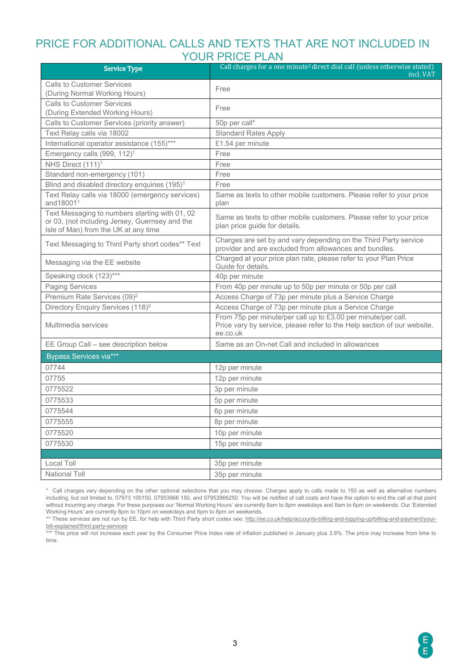### PRICE FOR ADDITIONAL CALLS AND TEXTS THAT ARE NOT INCLUDED IN YOUR PRICE PLAN

| <b>Service Type</b>                                                                                                                      | Call charges for a one minute <sup>2</sup> direct dial call (unless otherwise stated)<br>incl. VAT                                                   |
|------------------------------------------------------------------------------------------------------------------------------------------|------------------------------------------------------------------------------------------------------------------------------------------------------|
| <b>Calls to Customer Services</b><br>(During Normal Working Hours)                                                                       | Free                                                                                                                                                 |
| <b>Calls to Customer Services</b><br>(During Extended Working Hours)                                                                     | Free                                                                                                                                                 |
| Calls to Customer Services (priority answer)                                                                                             | 50p per call*                                                                                                                                        |
| Text Relay calls via 18002                                                                                                               | <b>Standard Rates Apply</b>                                                                                                                          |
| International operator assistance (155)***                                                                                               | £1.54 per minute                                                                                                                                     |
| Emergency calls (999, 112) <sup>1</sup>                                                                                                  | Free                                                                                                                                                 |
| NHS Direct (111) <sup>1</sup>                                                                                                            | Free                                                                                                                                                 |
| Standard non-emergency (101)                                                                                                             | Free                                                                                                                                                 |
| Blind and disabled directory enquiries (195) <sup>1</sup>                                                                                | Free                                                                                                                                                 |
| Text Relay calls via 18000 (emergency services)<br>and18001 <sup>1</sup>                                                                 | Same as texts to other mobile customers. Please refer to your price<br>plan                                                                          |
| Text Messaging to numbers starting with 01, 02<br>or 03, (not including Jersey, Guernsey and the<br>Isle of Man) from the UK at any time | Same as texts to other mobile customers. Please refer to your price<br>plan price guide for details.                                                 |
| Text Messaging to Third Party short codes** Text                                                                                         | Charges are set by and vary depending on the Third Party service<br>provider and are excluded from allowances and bundles.                           |
| Messaging via the EE website                                                                                                             | Charged at your price plan rate, please refer to your Plan Price<br>Guide for details.                                                               |
| Speaking clock (123)***                                                                                                                  | 40p per minute                                                                                                                                       |
| <b>Paging Services</b>                                                                                                                   | From 40p per minute up to 50p per minute or 50p per call                                                                                             |
| Premium Rate Services (09) <sup>2</sup>                                                                                                  | Access Charge of 73p per minute plus a Service Charge                                                                                                |
| Directory Enquiry Services (118) <sup>2</sup>                                                                                            | Access Charge of 73p per minute plus a Service Charge                                                                                                |
| Multimedia services                                                                                                                      | From 75p per minute/per call up to £3.00 per minute/per call.<br>Price vary by service, please refer to the Help section of our website,<br>ee.co.uk |
| EE Group Call - see description below                                                                                                    | Same as an On-net Call and included in allowances                                                                                                    |
| <b>Bypass Services via***</b>                                                                                                            |                                                                                                                                                      |
| 07744                                                                                                                                    | 12p per minute                                                                                                                                       |
| 07755                                                                                                                                    | 12p per minute                                                                                                                                       |
| 0775522                                                                                                                                  | 3p per minute                                                                                                                                        |
| 0775533                                                                                                                                  | 5p per minute                                                                                                                                        |
| 0775544                                                                                                                                  | 6p per minute                                                                                                                                        |
| 0775555                                                                                                                                  | 8p per minute                                                                                                                                        |
| 0775520                                                                                                                                  | 10p per minute                                                                                                                                       |
| 0775530                                                                                                                                  | 15p per minute                                                                                                                                       |
|                                                                                                                                          |                                                                                                                                                      |
| Local Toll                                                                                                                               | 35p per minute                                                                                                                                       |
| National Toll                                                                                                                            | 35p per minute                                                                                                                                       |

\* Call charges vary depending on the other optional selections that you may choose. Charges apply to calls made to 150 as well as alternative numbers including, but not limited to, 07973 100150, 07953966 150, and 07953966250. You will be notified of call costs and have the option to end the call at that point without incurring any charge. For these purposes our 'Normal Working Hours' are currently 8am to 8pm weekdays and 8am to 6pm on weekends. Our 'Extended Working Hours' are currently 8pm to 10pm on weekdays and 6pm to 8pm on weekends.

\*\* These services are not run by EE, for help with Third Party short codes see: [http://ee.co.uk/help/accounts-billing-and-topping-up/billing-and-payment/your](http://ee.co.uk/help/accounts-billing-and-topping-up/billing-and-payment/your-bill-explained/third-party-services)[bill-explained/third-party-services](http://ee.co.uk/help/accounts-billing-and-topping-up/billing-and-payment/your-bill-explained/third-party-services)

\*\*\* This price will not increase each year by the Consumer Price Index rate of inflation published in January plus 3.9%. The price may increase from time to time.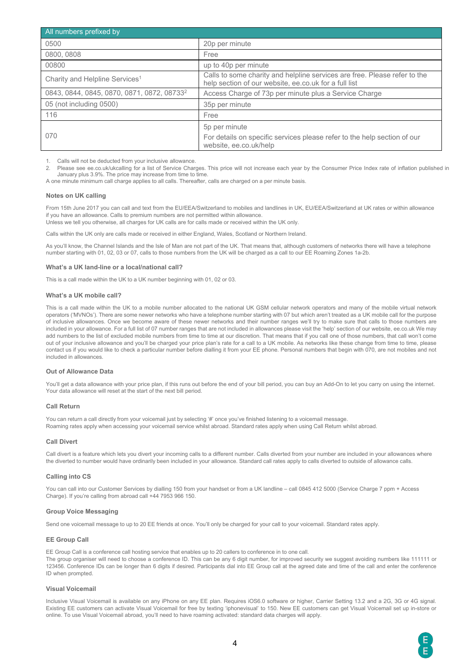| All numbers prefixed by                                |                                                                                                                                    |
|--------------------------------------------------------|------------------------------------------------------------------------------------------------------------------------------------|
| 0500                                                   | 20p per minute                                                                                                                     |
| 0800, 0808                                             | Free                                                                                                                               |
| 00800                                                  | up to 40p per minute                                                                                                               |
| Charity and Helpline Services <sup>1</sup>             | Calls to some charity and helpline services are free. Please refer to the<br>help section of our website, ee.co.uk for a full list |
| 0843, 0844, 0845, 0870, 0871, 0872, 08733 <sup>2</sup> | Access Charge of 73p per minute plus a Service Charge                                                                              |
| 05 (not including 0500)                                | 35p per minute                                                                                                                     |
| 116                                                    | Free                                                                                                                               |
| 070                                                    | 5p per minute<br>For details on specific services please refer to the help section of our<br>website, ee.co.uk/help                |

1. Calls will not be deducted from your inclusive allowance.<br>2. Please see ee couk/ukcalling for a list of Service Char-

Please see ee.co.uk/ukcalling for a list of Service Charges. This price will not increase each year by the Consumer Price Index rate of inflation published in January plus 3.9%. The price may increase from time to time.

A one minute minimum call charge applies to all calls. Thereafter, calls are charged on a per minute basis.

#### **Notes on UK calling**

From 15th June 2017 you can call and text from the EU/EEA/Switzerland to mobiles and landlines in UK, EU/EEA/Switzerland at UK rates or within allowance if you have an allowance. Calls to premium numbers are not permitted within allowance.

Unless we tell you otherwise, all charges for UK calls are for calls made or received within the UK only.

Calls within the UK only are calls made or received in either England, Wales, Scotland or Northern Ireland.

As you'll know, the Channel Islands and the Isle of Man are not part of the UK. That means that, although customers of networks there will have a telephone number starting with 01, 02, 03 or 07, calls to those numbers from the UK will be charged as a call to our EE Roaming Zones 1a-2b.

#### **What's a UK land-line or a local/national call?**

This is a call made within the UK to a UK number beginning with 01, 02 or 03.

#### **What's a UK mobile call?**

This is a call made within the UK to a mobile number allocated to the national UK GSM cellular network operators and many of the mobile virtual network operators ('MVNOs'). There are some newer networks who have a telephone number starting with 07 but which aren't treated as a UK mobile call for the purpose of inclusive allowances. Once we become aware of these newer networks and their number ranges we'll try to make sure that calls to those numbers are included in your allowance. For a full list of 07 number ranges that are not included in allowances please visit the 'help' section of our website, ee.co.uk We may add numbers to the list of excluded mobile numbers from time to time at our discretion. That means that if you call one of those numbers, that call won't come out of your inclusive allowance and you'll be charged your price plan's rate for a call to a UK mobile. As networks like these change from time to time, please contact us if you would like to check a particular number before dialling it from your EE phone. Personal numbers that begin with 070, are not mobiles and not included in allowances.

#### **Out of Allowance Data**

You'll get a data allowance with your price plan, if this runs out before the end of your bill period, you can buy an Add-On to let you carry on using the internet. Your data allowance will reset at the start of the next bill period.

#### **Call Return**

You can return a call directly from your voicemail just by selecting '#' once you've finished listening to a voicemail message. Roaming rates apply when accessing your voicemail service whilst abroad. Standard rates apply when using Call Return whilst abroad.

#### **Call Divert**

Call divert is a feature which lets you divert your incoming calls to a different number. Calls diverted from your number are included in your allowances where the diverted to number would have ordinarily been included in your allowance. Standard call rates apply to calls diverted to outside of allowance calls.

#### **Calling into CS**

You can call into our Customer Services by dialling 150 from your handset or from a UK landline – call 0845 412 5000 (Service Charge 7 ppm + Access Charge). If you're calling from abroad call +44 7953 966 150.

#### **Group Voice Messaging**

Send one voicemail message to up to 20 EE friends at once. You'll only be charged for your call to your voicemail. Standard rates apply.

#### **EE Group Call**

EE Group Call is a conference call hosting service that enables up to 20 callers to conference in to one call.

The group organiser will need to choose a conference ID. This can be any 6 digit number, for improved security we suggest avoiding numbers like 111111 or 123456. Conference IDs can be longer than 6 digits if desired. Participants dial into EE Group call at the agreed date and time of the call and enter the conference ID when prompted.

#### **Visual Voicemail**

Inclusive Visual Voicemail is available on any iPhone on any EE plan. Requires iOS6.0 software or higher, Carrier Setting 13.2 and a 2G, 3G or 4G signal. Existing EE customers can activate Visual Voicemail for free by texting 'iphonevisual' to 150. New EE customers can get Visual Voicemail set up in-store or online. To use Visual Voicemail abroad, you'll need to have roaming activated: standard data charges will apply.

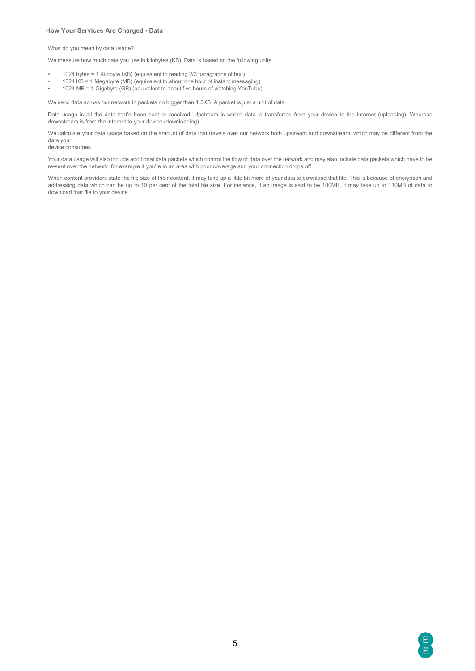#### **How Your Services Are Charged - Data**

What do you mean by data usage?

We measure how much data you use in kilobytes (KB). Data is based on the following units:

- 1024 bytes = 1 Kilobyte (KB) (equivalent to reading 2/3 paragraphs of text)
- 1024 KB = 1 Megabyte (MB) (equivalent to about one hour of instant messaging)
- 1024 MB = 1 Gigabyte (GB) (equivalent to about five hours of watching YouTube)

We send data across our network in packets no bigger than 1.5KB. A packet is just a unit of data.

Data usage is all the data that's been sent or received. Upstream is where data is transferred from your device to the internet (uploading). Whereas downstream is from the internet to your device (downloading).

We calculate your data usage based on the amount of data that travels over our network both upstream and downstream, which may be different from the data your

#### device consumes.

Your data usage will also include additional data packets which control the flow of data over the network and may also include data packets which have to be re-sent over the network, for example if you're in an area with poor coverage and your connection drops off.

When content providers state the file size of their content, it may take up a little bit more of your data to download that file. This is because of encryption and addressing data which can be up to 10 per cent of the total file size. For instance, if an image is said to be 100MB, it may take up to 110MB of data to download that file to your device.

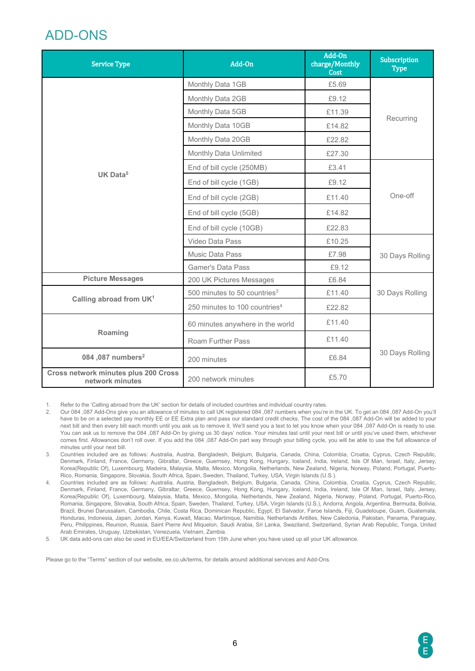### ADD-ONS

| <b>Service Type</b>                                     | Add-On                                    | Add-On<br>charge/Monthly<br>Cost | <b>Subscription</b><br><b>Type</b> |
|---------------------------------------------------------|-------------------------------------------|----------------------------------|------------------------------------|
|                                                         | Monthly Data 1GB                          | £5.69                            |                                    |
| UK Data <sup>5</sup>                                    | Monthly Data 2GB                          | £9.12                            |                                    |
|                                                         | Monthly Data 5GB                          | £11.39                           | Recurring                          |
|                                                         | Monthly Data 10GB                         | £14.82                           |                                    |
|                                                         | Monthly Data 20GB                         | £22.82                           |                                    |
|                                                         | Monthly Data Unlimited                    | £27.30                           |                                    |
|                                                         | End of bill cycle (250MB)                 | £3.41                            |                                    |
|                                                         | End of bill cycle (1GB)                   | £9.12                            |                                    |
|                                                         | End of bill cycle (2GB)                   | £11.40                           | One-off                            |
|                                                         | End of bill cycle (5GB)                   | £14.82                           |                                    |
|                                                         | End of bill cycle (10GB)                  | £22.83                           |                                    |
|                                                         | Video Data Pass                           | £10.25                           |                                    |
|                                                         | <b>Music Data Pass</b>                    | £7.98                            | 30 Days Rolling                    |
|                                                         | <b>Gamer's Data Pass</b>                  | £9.12                            |                                    |
| <b>Picture Messages</b>                                 | 200 UK Pictures Messages                  | £6.84                            |                                    |
| Calling abroad from UK <sup>1</sup>                     | 500 minutes to 50 countries <sup>3</sup>  | £11.40                           | 30 Days Rolling                    |
|                                                         | 250 minutes to 100 countries <sup>4</sup> | £22.82                           |                                    |
|                                                         | 60 minutes anywhere in the world          | £11.40                           |                                    |
| Roaming                                                 | Roam Further Pass                         | £11.40                           |                                    |
| 084,087 numbers <sup>2</sup>                            | 200 minutes                               | £6.84                            | 30 Days Rolling                    |
| Cross network minutes plus 200 Cross<br>network minutes | 200 network minutes                       | £5.70                            |                                    |

1. Refer to the 'Calling abroad from the UK' section for details of included countries and individual country rates.<br>2. Our 084, 087 Add-Ons give you an allowance of minutes to call UK registered 084, 087 numbers when you'

- 2. Our 084 ,087 Add-Ons give you an allowance of minutes to call UK registered 084 ,087 numbers when you're in the UK. To get an 084 ,087 Add-On you'll have to be on a selected pay monthly EE or EE Extra plan and pass our standard credit checks. The cost of the 084 ,087 Add-On will be added to your next bill and then every bill each month until you ask us to remove it. We'll send you a text to let you know when your 084 ,087 Add-On is ready to use. You can ask us to remove the 084 ,087 Add-On by giving us 30 days' notice. Your minutes last until your next bill or until you've used them, whichever comes first. Allowances don't roll over. If you add the 084 ,087 Add-On part way through your billing cycle, you will be able to use the full allowance of minutes until your next bill.
- 3. Countries included are as follows: Australia, Austria, Bangladesh, Belgium, Bulgaria, Canada, China, Colombia, Croatia, Cyprus, Czech Republic, Denmark, Finland, France, Germany, Gibraltar, Greece, Guernsey, Hong Kong, Hungary, Iceland, India, Ireland, Isle Of Man, Israel, Italy, Jersey, Korea(Republic Of), Luxembourg, Madeira, Malaysia, Malta, Mexico, Mongolia, Netherlands, New Zealand, Nigeria, Norway, Poland, Portugal, Puerto-Rico, Romania, Singapore, Slovakia, South Africa, Spain, Sweden, Thailand, Turkey, USA, Virgin Islands (U.S.).
- 4. Countries included are as follows: Australia, Austria, Bangladesh, Belgium, Bulgaria, Canada, China, Colombia, Croatia, Cyprus, Czech Republic, Denmark, Finland, France, Germany, Gibraltar, Greece, Guernsey, Hong Kong, Hungary, Iceland, India, Ireland, Isle Of Man, Israel, Italy, Jersey, Korea(Republic Of), Luxembourg, Malaysia, Malta, Mexico, Mongolia, Netherlands, New Zealand, Nigeria, Norway, Poland, Portugal, Puerto-Rico, Romania, Singapore, Slovakia, South Africa, Spain, Sweden, Thailand, Turkey, USA, Virgin Islands (U.S.), Andorra, Angola, Argentina, Bermuda, Bolivia, Brazil, Brunei Darussalam, Cambodia, Chile, Costa Rica, Dominican Republic, Egypt, El Salvador, Faroe Islands, Fiji, Guadeloupe, Guam, Guatemala, Honduras, Indonesia, Japan, Jordan, Kenya, Kuwait, Macao, Martinique, Namibia, Netherlands Antilles, New Caledonia, Pakistan, Panama, Paraguay, Peru, Philippines, Reunion, Russia, Saint Pierre And Miquelon, Saudi Arabia, Sri Lanka, Swaziland, Switzerland, Syrian Arab Republic, Tonga, United Arab Emirates, Uruguay, Uzbekistan, Venezuela, Vietnam, Zambia.
- 5. UK data add-ons can also be used in EU/EEA/Switzerland from 15th June when you have used up all your UK allowance.

Please go to the "Terms" section of our website, ee.co.uk/terms, for details around additional services and Add-Ons.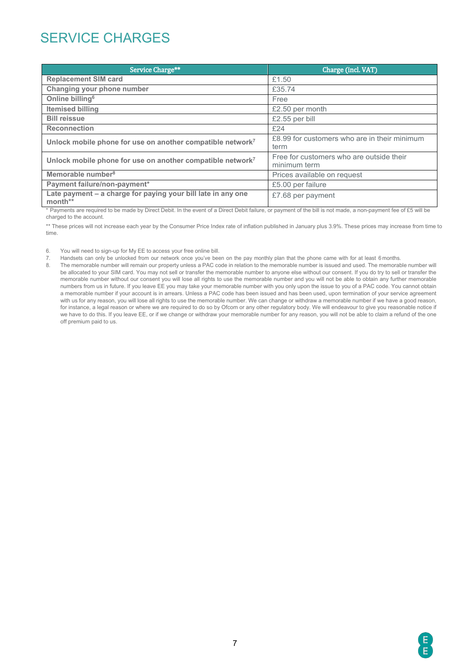# SERVICE CHARGES

| Service Charge**                                                        | Charge (incl. VAT)                                       |
|-------------------------------------------------------------------------|----------------------------------------------------------|
| <b>Replacement SIM card</b>                                             | £1.50                                                    |
| Changing your phone number                                              | £35.74                                                   |
| Online billing <sup>6</sup>                                             | Free                                                     |
| <b>Itemised billing</b>                                                 | £2.50 per month                                          |
| <b>Bill reissue</b>                                                     | £2.55 per bill                                           |
| <b>Reconnection</b>                                                     | £24                                                      |
| Unlock mobile phone for use on another compatible network <sup>7</sup>  | £8.99 for customers who are in their minimum<br>term     |
| Unlock mobile phone for use on another compatible network <sup>7</sup>  | Free for customers who are outside their<br>minimum term |
| Memorable number <sup>8</sup>                                           | Prices available on request                              |
| Payment failure/non-payment*                                            | £5.00 per failure                                        |
| Late payment - a charge for paying your bill late in any one<br>month** | £7.68 per payment                                        |

\* Payments are required to be made by Direct Debit. In the event of a Direct Debit failure, or payment of the bill is not made, a non-payment fee of £5 will be charged to the account.

\*\* These prices will not increase each year by the Consumer Price Index rate of inflation published in January plus 3.9%. These prices may increase from time to time.

6. You will need to sign-up for My EE to access your free online bill.

7. Handsets can only be unlocked from our network once you've been on the pay monthly plan that the phone came with for at least 6 months.

8. The memorable number will remain our property unless a PAC code in relation to the memorable number is issued and used. The memorable number will be allocated to your SIM card. You may not sell or transfer the memorable number to anyone else without our consent. If you do try to sell or transfer the memorable number without our consent you will lose all rights to use the memorable number and you will not be able to obtain any further memorable numbers from us in future. If you leave EE you may take your memorable number with you only upon the issue to you of a PAC code. You cannot obtain a memorable number if your account is in arrears. Unless a PAC code has been issued and has been used, upon termination of your service agreement with us for any reason, you will lose all rights to use the memorable number. We can change or withdraw a memorable number if we have a good reason, for instance, a legal reason or where we are required to do so by Ofcom or any other regulatory body. We will endeavour to give you reasonable notice if we have to do this. If you leave EE, or if we change or withdraw your memorable number for any reason, you will not be able to claim a refund of the one off premium paid to us.

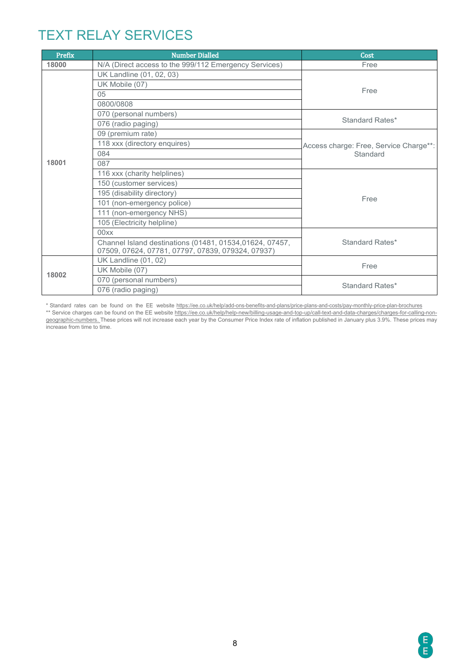## TEXT RELAY SERVICES

| <b>Prefix</b> | <b>Number Dialled</b>                                                                                         | Cost                                   |
|---------------|---------------------------------------------------------------------------------------------------------------|----------------------------------------|
| 18000         | N/A (Direct access to the 999/112 Emergency Services)                                                         | Free                                   |
|               | UK Landline (01, 02, 03)                                                                                      |                                        |
|               | UK Mobile (07)                                                                                                |                                        |
|               | 05                                                                                                            | Free                                   |
|               | 0800/0808                                                                                                     |                                        |
| 18001         | 070 (personal numbers)                                                                                        |                                        |
|               | 076 (radio paging)                                                                                            | Standard Rates*                        |
|               | 09 (premium rate)                                                                                             |                                        |
|               | 118 xxx (directory enquires)                                                                                  | Access charge: Free, Service Charge**: |
|               | 084                                                                                                           | Standard                               |
|               | 087                                                                                                           |                                        |
|               | 116 xxx (charity helplines)                                                                                   |                                        |
|               | 150 (customer services)                                                                                       |                                        |
|               | 195 (disability directory)                                                                                    | Free                                   |
|               | 101 (non-emergency police)                                                                                    |                                        |
|               | 111 (non-emergency NHS)                                                                                       |                                        |
|               | 105 (Electricity helpline)                                                                                    |                                        |
|               | 00xx                                                                                                          |                                        |
|               | Channel Island destinations (01481, 01534, 01624, 07457,<br>07509, 07624, 07781, 07797, 07839, 079324, 07937) | Standard Rates*                        |
|               | <b>UK Landline (01, 02)</b>                                                                                   |                                        |
|               | UK Mobile (07)                                                                                                | Free                                   |
|               | 070 (personal numbers)                                                                                        |                                        |
| 18002         | 076 (radio paging)                                                                                            | Standard Rates*                        |

\* Standard rates can be found on the EE website <https://ee.co.uk/help/add-ons-benefits-and-plans/price-plans-and-costs/pay-monthly-price-plan-brochures> \*\* Service charges can be found on the EE websit[e https://ee.co.uk/help/help-new/billing-usage-and-top-up/call-text-and-data-charges/charges-for-calling-non](https://ee.co.uk/help/help-new/billing-usage-and-top-up/call-text-and-data-charges/charges-for-calling-non-geographic-numbers)[geographic-numbers.](https://ee.co.uk/help/help-new/billing-usage-and-top-up/call-text-and-data-charges/charges-for-calling-non-geographic-numbers) These prices will not increase each year by the Consumer Price Index rate of inflation published in January plus 3.9%. These prices may increase from time to time.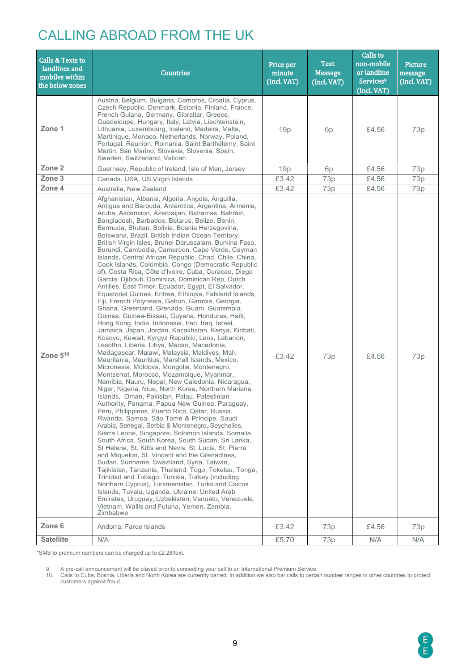### CALLING ABROAD FROM THE UK

| <b>Calls &amp; Texts to</b><br>landlines and<br>mobiles within<br>the below zones | <b>Countries</b>                                                                                                                                                                                                                                                                                                                                                                                                                                                                                                                                                                                                                                                                                                                                                                                                                                                                                                                                                                                                                                                                                                                                                                                                                                                                                                                                                                                                                                                                                                                                                                                                                                                                                                                                                                                                                                                                                                                                                                                                                                                                                                                                                                                                                                                                                                    | Price per<br>minute<br>(Incl. VAT) | <b>Text</b><br><b>Message</b><br>(Incl. VAT) | Calls to<br>non-mobile<br>or landline<br>Services <sup>9</sup><br>(Incl. VAT) | Picture<br>message<br>(Incl. VAT) |
|-----------------------------------------------------------------------------------|---------------------------------------------------------------------------------------------------------------------------------------------------------------------------------------------------------------------------------------------------------------------------------------------------------------------------------------------------------------------------------------------------------------------------------------------------------------------------------------------------------------------------------------------------------------------------------------------------------------------------------------------------------------------------------------------------------------------------------------------------------------------------------------------------------------------------------------------------------------------------------------------------------------------------------------------------------------------------------------------------------------------------------------------------------------------------------------------------------------------------------------------------------------------------------------------------------------------------------------------------------------------------------------------------------------------------------------------------------------------------------------------------------------------------------------------------------------------------------------------------------------------------------------------------------------------------------------------------------------------------------------------------------------------------------------------------------------------------------------------------------------------------------------------------------------------------------------------------------------------------------------------------------------------------------------------------------------------------------------------------------------------------------------------------------------------------------------------------------------------------------------------------------------------------------------------------------------------------------------------------------------------------------------------------------------------|------------------------------------|----------------------------------------------|-------------------------------------------------------------------------------|-----------------------------------|
| Zone 1                                                                            | Austria, Belgium, Bulgaria, Comoros, Croatia, Cyprus,<br>Czech Republic, Denmark, Estonia, Finland, France,<br>French Guiana, Germany, Gibraltar, Greece,<br>Guadeloupe, Hungary, Italy, Latvia, Liechtenstein,<br>Lithuania, Luxembourg, Iceland, Madeira, Malta,<br>Martinique, Monaco, Netherlands, Norway, Poland,<br>Portugal, Reunion, Romania, Saint Barthélemy, Saint<br>Martin, San Marino, Slovakia, Slovenia, Spain,<br>Sweden, Switzerland, Vatican                                                                                                                                                                                                                                                                                                                                                                                                                                                                                                                                                                                                                                                                                                                                                                                                                                                                                                                                                                                                                                                                                                                                                                                                                                                                                                                                                                                                                                                                                                                                                                                                                                                                                                                                                                                                                                                     | 19p                                | 6p                                           | £4.56                                                                         | 73p                               |
| Zone <sub>2</sub>                                                                 | Guernsey, Republic of Ireland, Isle of Man, Jersey                                                                                                                                                                                                                                                                                                                                                                                                                                                                                                                                                                                                                                                                                                                                                                                                                                                                                                                                                                                                                                                                                                                                                                                                                                                                                                                                                                                                                                                                                                                                                                                                                                                                                                                                                                                                                                                                                                                                                                                                                                                                                                                                                                                                                                                                  | 19p                                | 6p                                           | £4.56                                                                         | 73p                               |
| Zone 3                                                                            | Canada, USA, US Virgin Islands                                                                                                                                                                                                                                                                                                                                                                                                                                                                                                                                                                                                                                                                                                                                                                                                                                                                                                                                                                                                                                                                                                                                                                                                                                                                                                                                                                                                                                                                                                                                                                                                                                                                                                                                                                                                                                                                                                                                                                                                                                                                                                                                                                                                                                                                                      | £3.42                              | 73p                                          | £4.56                                                                         | 73p                               |
| Zone 4                                                                            | Australia, New Zealand                                                                                                                                                                                                                                                                                                                                                                                                                                                                                                                                                                                                                                                                                                                                                                                                                                                                                                                                                                                                                                                                                                                                                                                                                                                                                                                                                                                                                                                                                                                                                                                                                                                                                                                                                                                                                                                                                                                                                                                                                                                                                                                                                                                                                                                                                              | £3.42                              | 73p                                          | £4.56                                                                         | 73p                               |
| Zone $5^{10}$                                                                     | Afghanistan, Albania, Algeria, Angola, Anguilla,<br>Antigua and Barbuda, Antarctica, Argentina, Armenia,<br>Aruba, Ascension, Azerbaijan, Bahamas, Bahrain,<br>Bangladesh, Barbados, Belarus, Belize, Benin,<br>Bermuda, Bhutan, Bolivia, Bosnia Herzegovina,<br>Botswana, Brazil, British Indian Ocean Territory,<br>British Virgin Isles, Brunei Darussalam, Burkina Faso,<br>Burundi, Cambodia, Cameroon, Cape Verde, Cayman<br>Islands, Central African Republic, Chad, Chile, China,<br>Cook Islands, Colombia, Congo (Democratic Republic<br>of), Costa Rica, Côte d'Ivoire, Cuba, Curacao, Diego<br>Garcia, Djibouti, Dominica, Dominican Rep, Dutch<br>Antilles, East Timor, Ecuador, Egypt, El Salvador,<br>Equatorial Guinea, Eritrea, Ethiopia, Falkland Islands,<br>Fiji, French Polynesia, Gabon, Gambia, Georgia,<br>Ghana, Greenland, Grenada, Guam, Guatemala,<br>Guinea, Guinea-Bissau, Guyana, Honduras, Haiti,<br>Hong Kong, India, Indonesia, Iran, Iraq, Israel,<br>Jamaica, Japan, Jordan, Kazakhstan, Kenya, Kiribati,<br>Kosovo, Kuwait, Kyrgyz Republic, Laos, Lebanon,<br>Lesotho, Liberia, Libya, Macao, Macedonia,<br>Madagascar, Malawi, Malaysia, Maldives, Mali,<br>Mauritania, Mauritius, Marshall Islands, Mexico,<br>Micronesia, Moldova, Mongolia, Montenegro,<br>Montserrat, Morocco, Mozambique, Myanmar,<br>Namibia, Nauru, Nepal, New Caledonia, Nicaragua,<br>Niger, Nigeria, Niue, North Korea, Northern Mariana<br>Islands, Oman, Pakistan, Palau, Palestinian<br>Authority, Panama, Papua New Guinea, Paraguay,<br>Peru, Philippines, Puerto Rico, Qatar, Russia,<br>Rwanda, Samoa, São Tomé & Príncipe, Saudi<br>Arabia, Senegal, Serbia & Montenegro, Seychelles,<br>Sierra Leone, Singapore, Solomon Islands, Somalia,<br>South Africa, South Korea, South Sudan, Sri Lanka,<br>St Helena, St. Kitts and Nevis, St. Lucia, St. Pierre<br>and Miquelon, St. Vincent and the Grenadines,<br>Sudan, Suriname, Swaziland, Syria, Taiwan,<br>Tajikistan, Tanzania, Thailand, Togo, Tokelau, Tonga,<br>Trinidad and Tobago, Tunisia, Turkey (including<br>Northern Cyprus), Turkmenistan, Turks and Caicos<br>Islands, Tuvalu, Uganda, Ukraine, United Arab<br>Emirates, Uruguay, Uzbekistan, Vanuatu, Venezuela,<br>Vietnam. Wallis and Futuna. Yemen. Zambia.<br>Zimbabwe | £3.42                              | 73p                                          | £4.56                                                                         | 73p                               |
| Zone 6                                                                            | Andorra, Faroe Islands                                                                                                                                                                                                                                                                                                                                                                                                                                                                                                                                                                                                                                                                                                                                                                                                                                                                                                                                                                                                                                                                                                                                                                                                                                                                                                                                                                                                                                                                                                                                                                                                                                                                                                                                                                                                                                                                                                                                                                                                                                                                                                                                                                                                                                                                                              | £3.42                              | 73p                                          | £4.56                                                                         | 73p                               |
| <b>Satellite</b>                                                                  | N/A                                                                                                                                                                                                                                                                                                                                                                                                                                                                                                                                                                                                                                                                                                                                                                                                                                                                                                                                                                                                                                                                                                                                                                                                                                                                                                                                                                                                                                                                                                                                                                                                                                                                                                                                                                                                                                                                                                                                                                                                                                                                                                                                                                                                                                                                                                                 | £5.70                              | 73p                                          | N/A                                                                           | N/A                               |

\*SMS to premium numbers can be charged up to £2.28/text.

9. A pre-call announcement will be played prior to connecting your call to an International Premium Service.

10. Calls to Cuba, Bosnia, Liberia and North Korea are currently barred. In addition we also bar calls to certain number ranges in other countries to protect customers against fraud.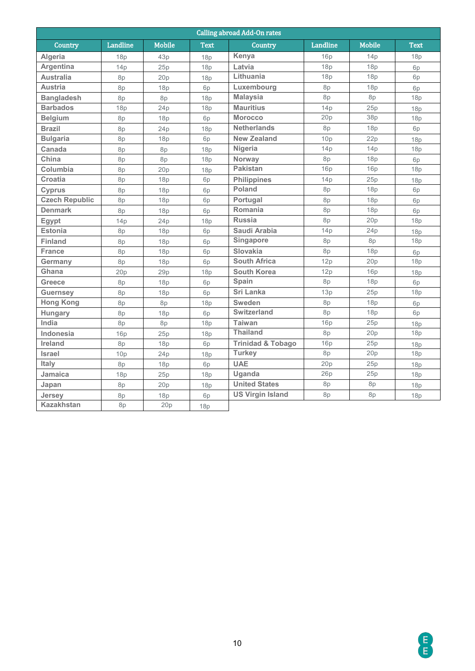| <b>Calling abroad Add-On rates</b> |                 |                 |             |                              |          |               |             |  |  |
|------------------------------------|-----------------|-----------------|-------------|------------------------------|----------|---------------|-------------|--|--|
| Country                            | Landline        | <b>Mobile</b>   | <b>Text</b> | <b>Country</b>               | Landline | <b>Mobile</b> | <b>Text</b> |  |  |
| Algeria                            | 18p             | 43p             | 18p         | Kenya                        | 16p      | 14p           | 18p         |  |  |
| Argentina                          | 14p             | 25p             | 18p         | Latvia                       | 18p      | 18p           | 6p          |  |  |
| <b>Australia</b>                   | 8p              | 20p             | 18p         | Lithuania                    | 18p      | 18p           | 6p          |  |  |
| <b>Austria</b>                     | 8p              | 18p             | 6p          | Luxembourg                   | 8p       | 18p           | 6p          |  |  |
| <b>Bangladesh</b>                  | 8p              | 8p              | 18p         | <b>Malaysia</b>              | 8p       | 8p            | 18p         |  |  |
| <b>Barbados</b>                    | 18p             | 24p             | 18p         | <b>Mauritius</b>             | 14p      | 25p           | 18p         |  |  |
| <b>Belgium</b>                     | 8p              | 18p             | 6p          | <b>Morocco</b>               | 20p      | 38p           | 18p         |  |  |
| <b>Brazil</b>                      | 8p              | 24p             | 18p         | <b>Netherlands</b>           | 8p       | 18p           | 6p          |  |  |
| <b>Bulgaria</b>                    | 8p              | 18p             | 6p          | <b>New Zealand</b>           | 10p      | 22p           | 18p         |  |  |
| Canada                             | 8p              | 8p              | 18p         | Nigeria                      | 14p      | 14p           | 18p         |  |  |
| China                              | 8p              | 8p              | 18p         | Norway                       | 8p       | 18p           | 6p          |  |  |
| Columbia                           | 8p              | 20p             | 18p         | <b>Pakistan</b>              | 16p      | 16p           | 18p         |  |  |
| <b>Croatia</b>                     | 8p              | 18p             | 6p          | <b>Philippines</b>           | 14p      | 25p           | 18p         |  |  |
| <b>Cyprus</b>                      | 8p              | 18p             | 6p          | Poland                       | 8p       | 18p           | 6p          |  |  |
| <b>Czech Republic</b>              | 8p              | 18p             | 6p          | Portugal                     | 8p       | 18p           | 6p          |  |  |
| <b>Denmark</b>                     | 8p              | 18p             | 6p          | Romania                      | 8p       | 18p           | 6p          |  |  |
| Egypt                              | 14p             | 24p             | 18p         | <b>Russia</b>                | 8p       | 20p           | 18p         |  |  |
| <b>Estonia</b>                     | 8p              | 18p             | 6p          | Saudi Arabia                 | 14p      | 24p           | 18p         |  |  |
| <b>Finland</b>                     | 8p              | 18 <sub>p</sub> | 6p          | Singapore                    | 8p       | 8p            | 18p         |  |  |
| <b>France</b>                      | 8p              | 18p             | 6p          | Slovakia                     | 8p       | 18p           | 6p          |  |  |
| Germany                            | 8p              | 18p             | 6p          | South Africa                 | 12p      | 20p           | 18p         |  |  |
| Ghana                              | 20 <sub>p</sub> | 29p             | 18p         | South Korea                  | 12p      | 16p           | 18p         |  |  |
| Greece                             | 8p              | 18p             | 6p          | Spain                        | 8p       | 18p           | 6p          |  |  |
| <b>Guernsey</b>                    | 8p              | 18p             | 6p          | Sri Lanka                    | 13p      | 25p           | 18p         |  |  |
| <b>Hong Kong</b>                   | 8p              | 8p              | 18p         | Sweden                       | 8p       | 18p           | 6p          |  |  |
| Hungary                            | 8p              | 18p             | 6p          | <b>Switzerland</b>           | 8p       | 18p           | 6p          |  |  |
| India                              | 8p              | 8p              | 18p         | <b>Taiwan</b>                | 16p      | 25p           | 18p         |  |  |
| <b>Indonesia</b>                   | 16p             | 25p             | 18p         | <b>Thailand</b>              | 8p       | 20p           | 18p         |  |  |
| Ireland                            | 8p              | 18p             | 6p          | <b>Trinidad &amp; Tobago</b> | 16p      | 25p           | 18p         |  |  |
| <b>Israel</b>                      | 10p             | 24p             | 18p         | <b>Turkey</b>                | 8p       | 20p           | 18p         |  |  |
| Italy                              | 8p              | 18p             | 6p          | <b>UAE</b>                   | 20p      | 25p           | 18p         |  |  |
| Jamaica                            | 18p             | 25p             | 18p         | Uganda                       | 26p      | 25p           | 18p         |  |  |
| Japan                              | 8p              | 20p             | 18p         | <b>United States</b>         | 8p       | 8p            | 18p         |  |  |
| Jersey                             | 8p              | 18p             | 6p          | <b>US Virgin Island</b>      | 8p       | 8p            | 18p         |  |  |
| <b>Kazakhstan</b>                  | 8p              | 20 <sub>p</sub> | 18p         |                              |          |               |             |  |  |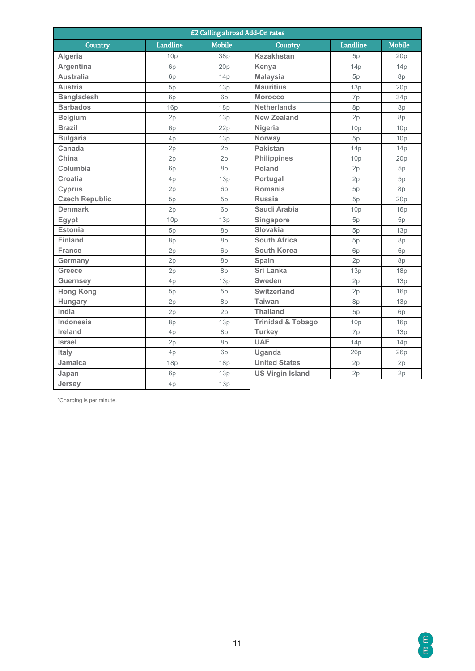| £2 Calling abroad Add-On rates |                 |               |                              |                 |                 |  |  |  |  |  |
|--------------------------------|-----------------|---------------|------------------------------|-----------------|-----------------|--|--|--|--|--|
| Country                        | <b>Landline</b> | <b>Mobile</b> | <b>Country</b>               | <b>Landline</b> | <b>Mobile</b>   |  |  |  |  |  |
| Algeria                        | 10 <sub>p</sub> | 38p           | <b>Kazakhstan</b>            | 5p              | 20 <sub>p</sub> |  |  |  |  |  |
| Argentina                      | 6p              | 20p           | Kenya                        | 14p             | 14p             |  |  |  |  |  |
| <b>Australia</b>               | 6p              | 14p           | <b>Malaysia</b>              | 5p              | 8p              |  |  |  |  |  |
| <b>Austria</b>                 | 5p              | 13p           | <b>Mauritius</b>             | 13p             | 20p             |  |  |  |  |  |
| <b>Bangladesh</b>              | 6p              | 6p            | <b>Morocco</b>               | 7p              | 34p             |  |  |  |  |  |
| <b>Barbados</b>                | <b>16p</b>      | 18p           | <b>Netherlands</b>           | 8p              | 8p              |  |  |  |  |  |
| <b>Belgium</b>                 | 2p              | 13p           | New Zealand                  | 2p              | 8p              |  |  |  |  |  |
| <b>Brazil</b>                  | 6p              | 22p           | Nigeria                      | 10 <sub>p</sub> | 10p             |  |  |  |  |  |
| <b>Bulgaria</b>                | 4p              | 13p           | Norway                       | 5p              | 10p             |  |  |  |  |  |
| Canada                         | 2p              | 2p            | <b>Pakistan</b>              | 14p             | 14p             |  |  |  |  |  |
| China                          | 2p              | 2p            | <b>Philippines</b>           | 10p             | 20p             |  |  |  |  |  |
| Columbia                       | 6p              | 8p            | Poland                       | 2p              | 5p              |  |  |  |  |  |
| Croatia                        | 4p              | 13p           | Portugal                     | 2p              | 5p              |  |  |  |  |  |
| <b>Cyprus</b>                  | 2p              | 6p            | Romania                      | 5p              | 8p              |  |  |  |  |  |
| <b>Czech Republic</b>          | 5p              | 5p            | <b>Russia</b>                | 5p              | 20p             |  |  |  |  |  |
| <b>Denmark</b>                 | 2p              | 6p            | Saudi Arabia                 | 10 <sub>p</sub> | 16p             |  |  |  |  |  |
| Egypt                          | 10p             | 13p           | Singapore                    | 5p              | 5p              |  |  |  |  |  |
| <b>Estonia</b>                 | 5p              | 8p            | Slovakia                     | 5p              | 13p             |  |  |  |  |  |
| <b>Finland</b>                 | 8p              | 8p            | <b>South Africa</b>          | 5p              | 8p              |  |  |  |  |  |
| <b>France</b>                  | 2p              | 6p            | <b>South Korea</b>           | 6p              | 6p              |  |  |  |  |  |
| Germany                        | 2p              | 8p            | Spain                        | 2p              | 8p              |  |  |  |  |  |
| Greece                         | 2p              | 8p            | Sri Lanka                    | 13p             | 18p             |  |  |  |  |  |
| <b>Guernsey</b>                | 4p              | 13p           | Sweden                       | 2p              | 13p             |  |  |  |  |  |
| <b>Hong Kong</b>               | 5p              | 5p            | Switzerland                  | 2p              | 16p             |  |  |  |  |  |
| Hungary                        | 2p              | 8p            | <b>Taiwan</b>                | 8p              | 13p             |  |  |  |  |  |
| India                          | 2p              | 2p            | <b>Thailand</b>              | 5p              | 6p              |  |  |  |  |  |
| Indonesia                      | 8p              | 13p           | <b>Trinidad &amp; Tobago</b> | 10 <sub>p</sub> | 16p             |  |  |  |  |  |
| <b>Ireland</b>                 | 4p              | 8p            | <b>Turkey</b>                | 7p              | 13p             |  |  |  |  |  |
| <b>Israel</b>                  | 2p              | 8p            | <b>UAE</b>                   | 14p             | 14p             |  |  |  |  |  |
| Italy                          | 4p              | 6p            | Uganda                       | 26p             | 26p             |  |  |  |  |  |
| Jamaica                        | 18p             | 18p           | <b>United States</b>         | 2p              | 2p              |  |  |  |  |  |
| Japan                          | 6p              | 13p           | <b>US Virgin Island</b>      | 2p              | 2p              |  |  |  |  |  |
| Jersey                         | 4p              | 13p           |                              |                 |                 |  |  |  |  |  |

\*Charging is per minute.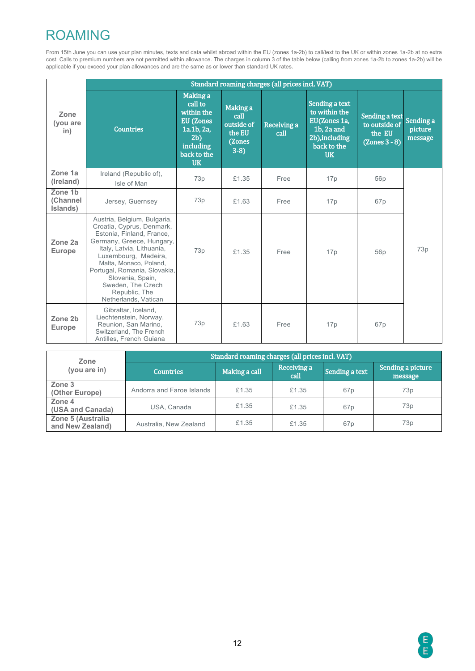## ROAMING

From 15th June you can use your plan minutes, texts and data whilst abroad within the EU (zones 1a-2b) to call/text to the UK or within zones 1a-2b at no extra cost. Calls to premium numbers are not permitted within allowance. The charges in column 3 of the table below (calling from zones 1a-2b to zones 1a-2b) will be applicable if you exceed your plan allowances and are the same as or lower than standard UK rates.

|                                     | Standard roaming charges (all prices incl. VAT)                                                                                                                                                                                                                                                                     |                                                                                                                                      |                                                             |                     |                                                                                                             |                                                              |                                 |  |  |
|-------------------------------------|---------------------------------------------------------------------------------------------------------------------------------------------------------------------------------------------------------------------------------------------------------------------------------------------------------------------|--------------------------------------------------------------------------------------------------------------------------------------|-------------------------------------------------------------|---------------------|-------------------------------------------------------------------------------------------------------------|--------------------------------------------------------------|---------------------------------|--|--|
| Zone<br>(you are<br>in)             | <b>Countries</b>                                                                                                                                                                                                                                                                                                    | Making a<br>call to<br>within the<br><b>EU</b> (Zones<br>1a.1b.2a.<br>2 <sub>b</sub><br><b>including</b><br>back to the<br><b>UK</b> | Making a<br>call<br>outside of<br>the EU<br>(Zones<br>$3-8$ | Receiving a<br>call | Sending a text<br>to within the<br>EU(Zones 1a,<br>1b, 2a and<br>2b), including<br>back to the<br><b>UK</b> | Sending a text<br>to outside of<br>the EU<br>$(Zones 3 - 8)$ | Sending a<br>picture<br>message |  |  |
| Zone 1a<br>(Ireland)                | Ireland (Republic of),<br>Isle of Man                                                                                                                                                                                                                                                                               | 73p                                                                                                                                  | £1.35                                                       | Free                | 17p                                                                                                         | 56p                                                          |                                 |  |  |
| Zone 1b<br>(Channel<br>Islands)     | Jersey, Guernsey                                                                                                                                                                                                                                                                                                    | 73p                                                                                                                                  | £1.63                                                       | Free                | 17p                                                                                                         | 67p                                                          |                                 |  |  |
| Zone <sub>2a</sub><br><b>Europe</b> | Austria, Belgium, Bulgaria,<br>Croatia, Cyprus, Denmark,<br>Estonia, Finland, France,<br>Germany, Greece, Hungary,<br>Italy, Latvia, Lithuania,<br>Luxembourg, Madeira,<br>Malta, Monaco, Poland,<br>Portugal, Romania, Slovakia,<br>Slovenia, Spain,<br>Sweden, The Czech<br>Republic, The<br>Netherlands, Vatican | 73p                                                                                                                                  | £1.35                                                       | Free                | 17p                                                                                                         | 56 <sub>p</sub>                                              | 73p                             |  |  |
| Zone 2b<br><b>Europe</b>            | Gibraltar, Iceland,<br>Liechtenstein, Norway,<br>Reunion, San Marino,<br>Switzerland, The French<br>Antilles, French Guiana                                                                                                                                                                                         | 73p                                                                                                                                  | £1.63                                                       | Free                | 17p                                                                                                         | 67 <sub>p</sub>                                              |                                 |  |  |

| Zone                                  | Standard roaming charges (all prices incl. VAT) |               |                     |                 |                              |  |  |  |  |  |
|---------------------------------------|-------------------------------------------------|---------------|---------------------|-----------------|------------------------------|--|--|--|--|--|
| (you are in)                          | <b>Countries</b>                                | Making a call | Receiving a<br>call | Sending a text  | Sending a picture<br>message |  |  |  |  |  |
| Zone 3<br>(Other Europe)              | Andorra and Faroe Islands                       | £1.35         | £1.35               | 67 <sub>p</sub> | 73p                          |  |  |  |  |  |
| Zone 4<br>(USA and Canada)            | USA, Canada                                     | £1.35         | £1.35               | 67 <sub>p</sub> | 73p                          |  |  |  |  |  |
| Zone 5 (Australia<br>and New Zealand) | Australia, New Zealand                          | £1.35         | £1.35               | 67 <sub>p</sub> | 73p                          |  |  |  |  |  |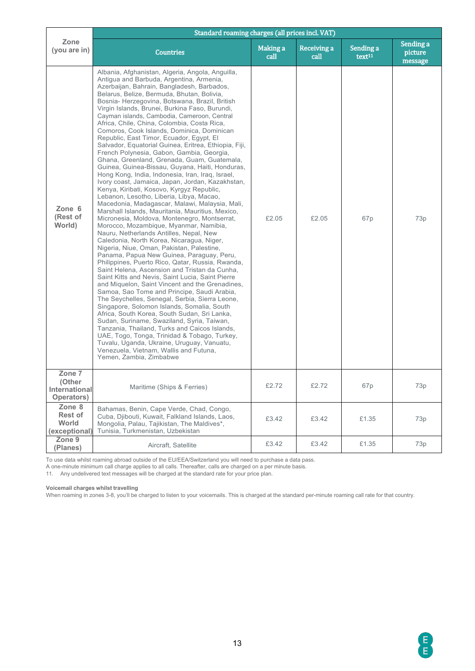|                                                    | Standard roaming charges (all prices incl. VAT)                                                                                                                                                                                                                                                                                                                                                                                                                                                                                                                                                                                                                                                                                                                                                                                                                                                                                                                                                                                                                                                                                                                                                                                                                                                                                                                                                                                                                                                                                                                                                                                                                                                                                                                                                                                                                                                                                                             |                  |                     |                                 |                                 |
|----------------------------------------------------|-------------------------------------------------------------------------------------------------------------------------------------------------------------------------------------------------------------------------------------------------------------------------------------------------------------------------------------------------------------------------------------------------------------------------------------------------------------------------------------------------------------------------------------------------------------------------------------------------------------------------------------------------------------------------------------------------------------------------------------------------------------------------------------------------------------------------------------------------------------------------------------------------------------------------------------------------------------------------------------------------------------------------------------------------------------------------------------------------------------------------------------------------------------------------------------------------------------------------------------------------------------------------------------------------------------------------------------------------------------------------------------------------------------------------------------------------------------------------------------------------------------------------------------------------------------------------------------------------------------------------------------------------------------------------------------------------------------------------------------------------------------------------------------------------------------------------------------------------------------------------------------------------------------------------------------------------------------|------------------|---------------------|---------------------------------|---------------------------------|
| Zone<br>(you are in)                               | <b>Countries</b>                                                                                                                                                                                                                                                                                                                                                                                                                                                                                                                                                                                                                                                                                                                                                                                                                                                                                                                                                                                                                                                                                                                                                                                                                                                                                                                                                                                                                                                                                                                                                                                                                                                                                                                                                                                                                                                                                                                                            | Making a<br>call | Receiving a<br>call | Sending a<br>text <sup>11</sup> | Sending a<br>picture<br>message |
| Zone 6<br>(Rest of<br>World)                       | Albania, Afghanistan, Algeria, Angola, Anguilla,<br>Antigua and Barbuda, Argentina, Armenia,<br>Azerbaijan, Bahrain, Bangladesh, Barbados,<br>Belarus, Belize, Bermuda, Bhutan, Bolivia,<br>Bosnia-Herzegovina, Botswana, Brazil, British<br>Virgin Islands, Brunei, Burkina Faso, Burundi,<br>Cayman islands, Cambodia, Cameroon, Central<br>Africa, Chile, China, Colombia, Costa Rica,<br>Comoros, Cook Islands, Dominica, Dominican<br>Republic, East Timor, Ecuador, Egypt, El<br>Salvador, Equatorial Guinea, Eritrea, Ethiopia, Fiji,<br>French Polynesia, Gabon, Gambia, Georgia,<br>Ghana, Greenland, Grenada, Guam, Guatemala,<br>Guinea, Guinea-Bissau, Guyana, Haiti, Honduras,<br>Hong Kong, India, Indonesia, Iran, Iraq, Israel,<br>Ivory coast, Jamaica, Japan, Jordan, Kazakhstan,<br>Kenya, Kiribati, Kosovo, Kyrgyz Republic,<br>Lebanon, Lesotho, Liberia, Libya, Macao,<br>Macedonia, Madagascar, Malawi, Malaysia, Mali,<br>Marshall Islands, Mauritania, Mauritius, Mexico,<br>Micronesia, Moldova, Montenegro, Montserrat,<br>Morocco, Mozambique, Myanmar, Namibia,<br>Nauru, Netherlands Antilles, Nepal, New<br>Caledonia, North Korea, Nicaragua, Niger,<br>Nigeria, Niue, Oman, Pakistan, Palestine,<br>Panama, Papua New Guinea, Paraguay, Peru,<br>Philippines, Puerto Rico, Qatar, Russia, Rwanda,<br>Saint Helena, Ascension and Tristan da Cunha,<br>Saint Kitts and Nevis, Saint Lucia, Saint Pierre<br>and Miquelon, Saint Vincent and the Grenadines,<br>Samoa, Sao Tome and Principe, Saudi Arabia,<br>The Seychelles, Senegal, Serbia, Sierra Leone,<br>Singapore, Solomon Islands, Somalia, South<br>Africa, South Korea, South Sudan, Sri Lanka,<br>Sudan, Suriname, Swaziland, Syria, Taiwan,<br>Tanzania, Thailand, Turks and Caicos Islands,<br>UAE, Togo, Tonga, Trinidad & Tobago, Turkey,<br>Tuvalu, Uganda, Ukraine, Uruguay, Vanuatu,<br>Venezuela, Vietnam, Wallis and Futuna,<br>Yemen, Zambia, Zimbabwe | £2.05            | £2.05               | 67p                             | 73p                             |
| Zone 7<br>(Other<br>International<br>Operators)    | Maritime (Ships & Ferries)                                                                                                                                                                                                                                                                                                                                                                                                                                                                                                                                                                                                                                                                                                                                                                                                                                                                                                                                                                                                                                                                                                                                                                                                                                                                                                                                                                                                                                                                                                                                                                                                                                                                                                                                                                                                                                                                                                                                  | £2.72            | £2.72               | 67p                             | 73p                             |
| Zone 8<br><b>Rest of</b><br>World<br>(exceptional) | Bahamas, Benin, Cape Verde, Chad, Congo,<br>Cuba, Djibouti, Kuwait, Falkland Islands, Laos,<br>Mongolia, Palau, Tajikistan, The Maldives*,<br>Tunisia, Turkmenistan, Uzbekistan                                                                                                                                                                                                                                                                                                                                                                                                                                                                                                                                                                                                                                                                                                                                                                                                                                                                                                                                                                                                                                                                                                                                                                                                                                                                                                                                                                                                                                                                                                                                                                                                                                                                                                                                                                             | £3.42            | £3.42               | £1.35                           | 73p                             |
| Zone 9<br>(Planes)                                 | Aircraft, Satellite                                                                                                                                                                                                                                                                                                                                                                                                                                                                                                                                                                                                                                                                                                                                                                                                                                                                                                                                                                                                                                                                                                                                                                                                                                                                                                                                                                                                                                                                                                                                                                                                                                                                                                                                                                                                                                                                                                                                         | £3.42            | £3.42               | £1.35                           | 73p                             |

To use data whilst roaming abroad outside of the EU/EEA/Switzerland you will need to purchase a data pass.

A one-minute minimum call charge applies to all calls. Thereafter, calls are charged on a per minute basis.

11. Any undelivered text messages will be charged at the standard rate for your price plan.

#### **Voicemail charges whilst travelling**

When roaming in zones 3-8, you'll be charged to listen to your voicemails. This is charged at the standard per-minute roaming call rate for that country.

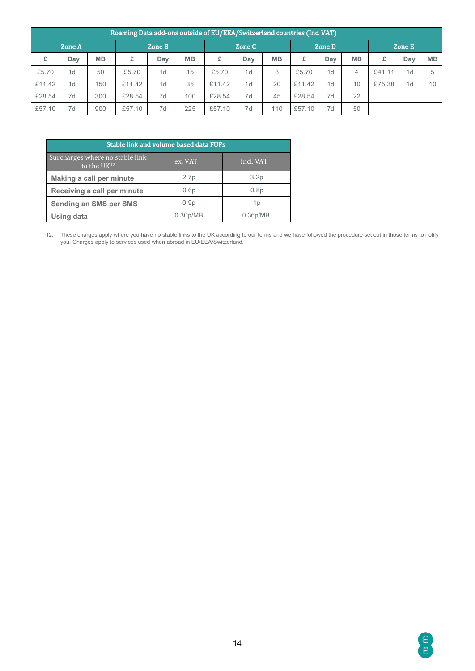| Roaming Data add-ons outside of EU/EEA/Switzerland countries (Inc. VAT) |                  |           |        |                |           |        |                |           |        |                |           |        |                |           |
|-------------------------------------------------------------------------|------------------|-----------|--------|----------------|-----------|--------|----------------|-----------|--------|----------------|-----------|--------|----------------|-----------|
|                                                                         | Zone B<br>Zone A |           | Zone C |                | Zone D    |        |                | Zone E    |        |                |           |        |                |           |
| £                                                                       | Day              | <b>MB</b> | £      | Day            | <b>MB</b> | £      | Day            | <b>MB</b> | £      | Day            | <b>MB</b> | £      | Dav            | <b>MB</b> |
| £5.70                                                                   | 1 <sub>d</sub>   | 50        | £5.70  | 1 <sub>d</sub> | 15        | £5.70  | 1 <sub>d</sub> | 8         | £5.70  | 1 <sub>d</sub> | 4         | £41.11 | 1 <sub>d</sub> | 5         |
| £11.42                                                                  | 1 <sub>d</sub>   | 150       | £11.42 | 1 <sub>d</sub> | 35        | £11.42 | 1 <sub>d</sub> | 20        | £11.42 | 1 <sub>d</sub> | 10        | £75.38 | 1 <sub>d</sub> | 10        |
| £28.54                                                                  | 7d               | 300       | £28.54 | 7d             | 100       | £28.54 | 7d             | 45        | £28.54 | 7d             | 22        |        |                |           |
| £57.10                                                                  | 7d               | 900       | £57.10 | 7d             | 225       | £57.10 | 7d             | 110       | £57.10 | 7d             | 50        |        |                |           |

| Stable link and volume based data FUPs         |                       |                  |  |  |  |  |
|------------------------------------------------|-----------------------|------------------|--|--|--|--|
| Surcharges where no stable link<br>to the UK12 | ex. VAT               | incl. VAT        |  |  |  |  |
| Making a call per minute                       | 2.7p                  | 3.2 <sub>p</sub> |  |  |  |  |
| Receiving a call per minute                    | 0.6p                  | 0.8p             |  |  |  |  |
| Sending an SMS per SMS                         | 0.9 <sub>p</sub>      | 1p               |  |  |  |  |
| <b>Using data</b>                              | 0.30 <sub>p</sub> /MB | 0.36p/MB         |  |  |  |  |

12. These charges apply where you have no stable links to the UK according to our terms and we have followed the procedure set out in those terms to notify you. Charges apply to services used when abroad in EU/EEA/Switzerland.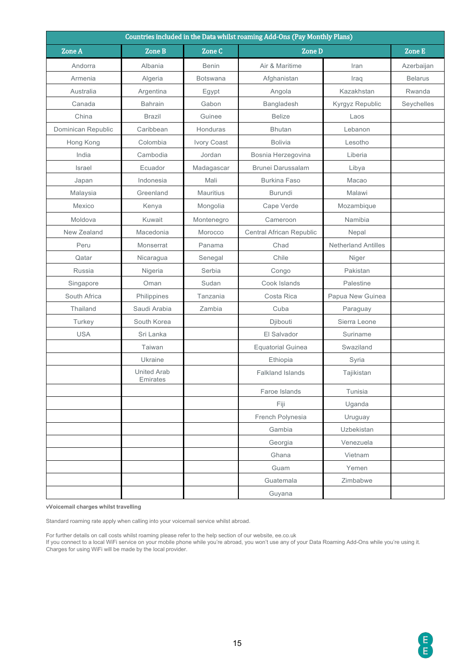| Countries included in the Data whilst roaming Add-Ons (Pay Monthly Plans) |                                |                 |                          |                            |                |  |
|---------------------------------------------------------------------------|--------------------------------|-----------------|--------------------------|----------------------------|----------------|--|
| <b>Zone A</b>                                                             | <b>Zone B</b>                  | <b>Zone C</b>   | <b>Zone D</b>            |                            | <b>Zone E</b>  |  |
| Andorra                                                                   | Albania                        | <b>Benin</b>    | Air & Maritime           | Iran                       | Azerbaijan     |  |
| Armenia                                                                   | Algeria                        | <b>Botswana</b> | Afghanistan              | Iraq                       | <b>Belarus</b> |  |
| Australia                                                                 | Argentina                      | Egypt           | Angola                   | Kazakhstan                 | Rwanda         |  |
| Canada                                                                    | <b>Bahrain</b>                 | Gabon           | Bangladesh               | Kyrgyz Republic            | Seychelles     |  |
| China                                                                     | <b>Brazil</b>                  | Guinee          | <b>Belize</b>            | Laos                       |                |  |
| Dominican Republic                                                        | Caribbean                      | Honduras        | <b>Bhutan</b>            | Lebanon                    |                |  |
| Hong Kong                                                                 | Colombia                       | Ivory Coast     | <b>Bolivia</b>           | Lesotho                    |                |  |
| India                                                                     | Cambodia                       | Jordan          | Bosnia Herzegovina       | Liberia                    |                |  |
| Israel                                                                    | Ecuador                        | Madagascar      | <b>Brunei Darussalam</b> | Libya                      |                |  |
| Japan                                                                     | Indonesia                      | Mali            | <b>Burkina Faso</b>      | Macao                      |                |  |
| Malaysia                                                                  | Greenland                      | Mauritius       | Burundi                  | Malawi                     |                |  |
| Mexico                                                                    | Kenya                          | Mongolia        | Cape Verde               | Mozambique                 |                |  |
| Moldova                                                                   | Kuwait                         | Montenegro      | Cameroon                 | Namibia                    |                |  |
| New Zealand                                                               | Macedonia                      | Morocco         | Central African Republic | Nepal                      |                |  |
| Peru                                                                      | Monserrat                      | Panama          | Chad                     | <b>Netherland Antilles</b> |                |  |
| Qatar                                                                     | Nicaragua                      | Senegal         | Chile                    | Niger                      |                |  |
| Russia                                                                    | Nigeria                        | Serbia          | Congo                    | Pakistan                   |                |  |
| Singapore                                                                 | Oman                           | Sudan           | Cook Islands             | Palestine                  |                |  |
| South Africa                                                              | Philippines                    | Tanzania        | Costa Rica               | Papua New Guinea           |                |  |
| Thailand                                                                  | Saudi Arabia                   | Zambia          | Cuba                     | Paraguay                   |                |  |
| Turkey                                                                    | South Korea                    |                 | Djibouti                 | Sierra Leone               |                |  |
| <b>USA</b>                                                                | Sri Lanka                      |                 | El Salvador              | Suriname                   |                |  |
|                                                                           | Taiwan                         |                 | <b>Equatorial Guinea</b> | Swaziland                  |                |  |
|                                                                           | Ukraine                        |                 | Ethiopia                 | Syria                      |                |  |
|                                                                           | <b>United Arab</b><br>Emirates |                 | <b>Falkland Islands</b>  | Tajikistan                 |                |  |
|                                                                           |                                |                 | Faroe Islands            | Tunisia                    |                |  |
|                                                                           |                                |                 | Fiji                     | Uganda                     |                |  |
|                                                                           |                                |                 | French Polynesia         | Uruguay                    |                |  |
|                                                                           |                                |                 | Gambia                   | Uzbekistan                 |                |  |
|                                                                           |                                |                 | Georgia                  | Venezuela                  |                |  |
|                                                                           |                                |                 | Ghana                    | Vietnam                    |                |  |
|                                                                           |                                |                 | Guam                     | Yemen                      |                |  |
|                                                                           |                                |                 | Guatemala                | Zimbabwe                   |                |  |
|                                                                           |                                |                 | Guyana                   |                            |                |  |

**vVoicemail charges whilst travelling**

Standard roaming rate apply when calling into your voicemail service whilst abroad.

For further details on call costs whilst roaming please refer to the help section of our website, ee.co.uk

If you connect to a local WiFi service on your mobile phone while you're abroad, you won't use any of your Data Roaming Add-Ons while you're using it. Charges for using WiFi will be made by the local provider.